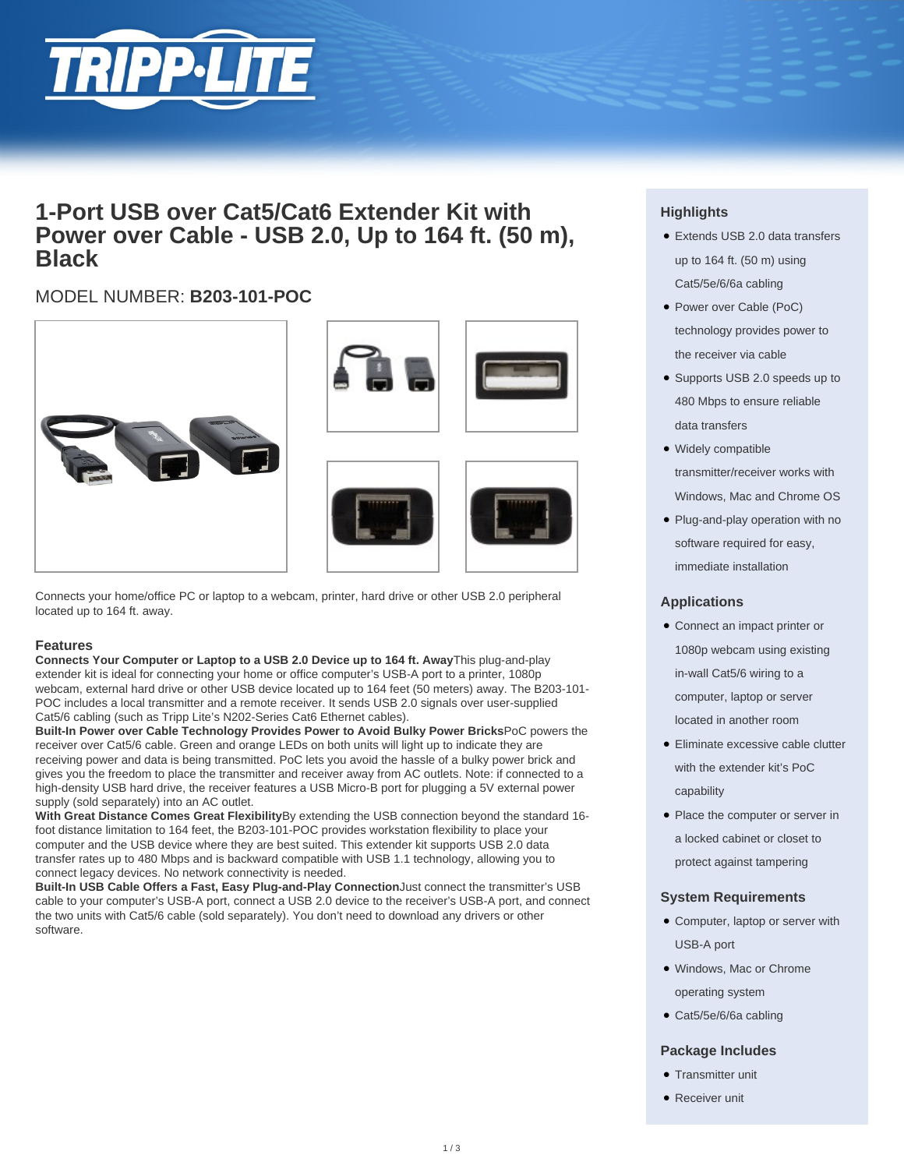

# **1-Port USB over Cat5/Cat6 Extender Kit with Power over Cable - USB 2.0, Up to 164 ft. (50 m), Black**

## MODEL NUMBER: **B203-101-POC**







Connects your home/office PC or laptop to a webcam, printer, hard drive or other USB 2.0 peripheral located up to 164 ft. away.

#### **Features**

**Connects Your Computer or Laptop to a USB 2.0 Device up to 164 ft. Away**This plug-and-play extender kit is ideal for connecting your home or office computer's USB-A port to a printer, 1080p webcam, external hard drive or other USB device located up to 164 feet (50 meters) away. The B203-101- POC includes a local transmitter and a remote receiver. It sends USB 2.0 signals over user-supplied Cat5/6 cabling (such as Tripp Lite's N202-Series Cat6 Ethernet cables).

**Built-In Power over Cable Technology Provides Power to Avoid Bulky Power Bricks**PoC powers the receiver over Cat5/6 cable. Green and orange LEDs on both units will light up to indicate they are receiving power and data is being transmitted. PoC lets you avoid the hassle of a bulky power brick and gives you the freedom to place the transmitter and receiver away from AC outlets. Note: if connected to a high-density USB hard drive, the receiver features a USB Micro-B port for plugging a 5V external power supply (sold separately) into an AC outlet.

**With Great Distance Comes Great Flexibility**By extending the USB connection beyond the standard 16 foot distance limitation to 164 feet, the B203-101-POC provides workstation flexibility to place your computer and the USB device where they are best suited. This extender kit supports USB 2.0 data transfer rates up to 480 Mbps and is backward compatible with USB 1.1 technology, allowing you to connect legacy devices. No network connectivity is needed.

**Built-In USB Cable Offers a Fast, Easy Plug-and-Play Connection**Just connect the transmitter's USB cable to your computer's USB-A port, connect a USB 2.0 device to the receiver's USB-A port, and connect the two units with Cat5/6 cable (sold separately). You don't need to download any drivers or other software.

### **Highlights**

- Extends USB 2.0 data transfers up to 164 ft. (50 m) using Cat5/5e/6/6a cabling
- Power over Cable (PoC) technology provides power to the receiver via cable
- Supports USB 2.0 speeds up to 480 Mbps to ensure reliable data transfers
- Widely compatible transmitter/receiver works with Windows, Mac and Chrome OS
- Plug-and-play operation with no software required for easy, immediate installation

#### **Applications**

- Connect an impact printer or 1080p webcam using existing in-wall Cat5/6 wiring to a computer, laptop or server located in another room
- Eliminate excessive cable clutter with the extender kit's PoC capability
- Place the computer or server in a locked cabinet or closet to protect against tampering

#### **System Requirements**

- Computer, laptop or server with USB-A port
- Windows, Mac or Chrome operating system
- Cat5/5e/6/6a cabling

#### **Package Includes**

- Transmitter unit
- Receiver unit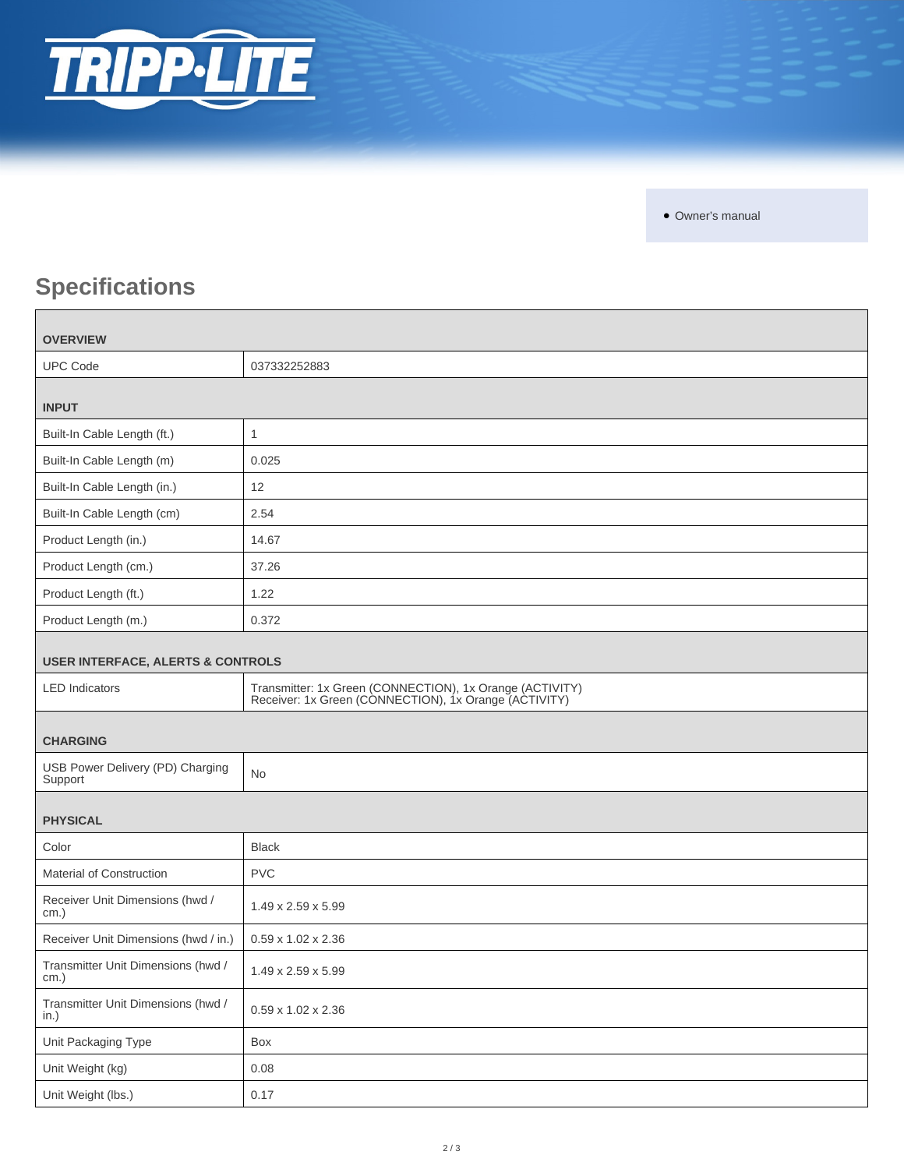

• Owner's manual

# **Specifications**

| <b>OVERVIEW</b>                              |                                                                                                                   |  |
|----------------------------------------------|-------------------------------------------------------------------------------------------------------------------|--|
| <b>UPC Code</b>                              | 037332252883                                                                                                      |  |
| <b>INPUT</b>                                 |                                                                                                                   |  |
|                                              |                                                                                                                   |  |
| Built-In Cable Length (ft.)                  | $\mathbf{1}$                                                                                                      |  |
| Built-In Cable Length (m)                    | 0.025                                                                                                             |  |
| Built-In Cable Length (in.)                  | 12                                                                                                                |  |
| Built-In Cable Length (cm)                   | 2.54                                                                                                              |  |
| Product Length (in.)                         | 14.67                                                                                                             |  |
| Product Length (cm.)                         | 37.26                                                                                                             |  |
| Product Length (ft.)                         | 1.22                                                                                                              |  |
| Product Length (m.)                          | 0.372                                                                                                             |  |
| <b>USER INTERFACE, ALERTS &amp; CONTROLS</b> |                                                                                                                   |  |
| <b>LED</b> Indicators                        | Transmitter: 1x Green (CONNECTION), 1x Orange (ACTIVITY)<br>Receiver: 1x Green (CONNECTION), 1x Orange (ACTIVITY) |  |
| <b>CHARGING</b>                              |                                                                                                                   |  |
| USB Power Delivery (PD) Charging<br>Support  | <b>No</b>                                                                                                         |  |
| <b>PHYSICAL</b>                              |                                                                                                                   |  |
| Color                                        | <b>Black</b>                                                                                                      |  |
| <b>Material of Construction</b>              | <b>PVC</b>                                                                                                        |  |
| Receiver Unit Dimensions (hwd /<br>cm.)      | 1.49 x 2.59 x 5.99                                                                                                |  |
| Receiver Unit Dimensions (hwd / in.)         | $0.59 \times 1.02 \times 2.36$                                                                                    |  |
| Transmitter Unit Dimensions (hwd /<br>cm.)   | 1.49 x 2.59 x 5.99                                                                                                |  |
| Transmitter Unit Dimensions (hwd /<br>in.)   | 0.59 x 1.02 x 2.36                                                                                                |  |
| Unit Packaging Type                          | Box                                                                                                               |  |
| Unit Weight (kg)                             | 0.08                                                                                                              |  |
| Unit Weight (lbs.)                           | 0.17                                                                                                              |  |